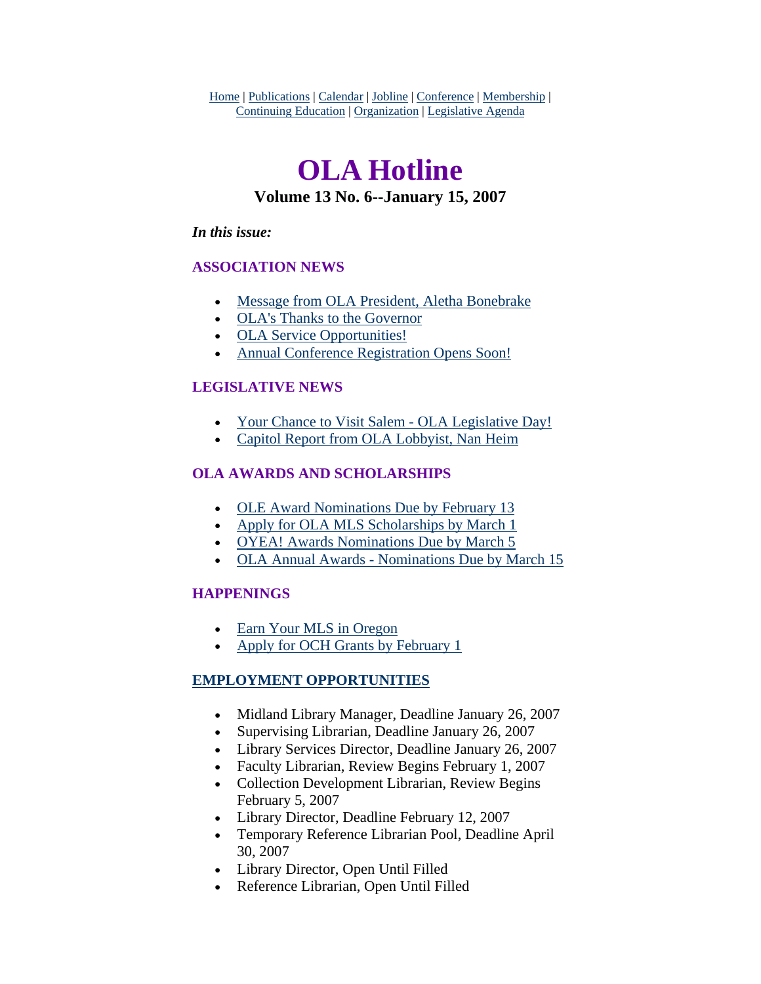Home | Publications | Calendar | Jobline | Conference | Membership | Continuing Education | Organization | Legislative Agenda

# **OLA Hotline Volume 13 No. 6--January 15, 2007**

### *In this issue:*

### **ASSOCIATION NEWS**

- [Message from OLA President, Aletha Bonebrake](#page-1-0)
- [OLA's Thanks to the Governor](#page-3-0)
- [OLA Service Opportunities!](#page-4-0)
- [Annual Conference Registration Opens Soon!](#page-5-0)

### **LEGISLATIVE NEWS**

- [Your Chance to Visit Salem OLA Legislative Day!](#page-6-0)
- [Capitol Report from OLA Lobbyist, Nan Heim](#page-7-0)

### **OLA AWARDS AND SCHOLARSHIPS**

- [OLE Award Nominations Due by February 13](#page-7-0)
- [Apply for OLA MLS Scholarships by March 1](#page-8-0)
- [OYEA! Awards Nominations Due by March 5](#page-8-0)
- [OLA Annual Awards Nominations Due by March 15](#page-9-0)

### **HAPPENINGS**

- [Earn Your MLS in Oregon](#page-10-0)
- [Apply for OCH Grants by February 1](#page-10-0)

### **EMPLOYMENT OPPORTUNITIES**

- Midland Library Manager, Deadline January 26, 2007
- Supervising Librarian, Deadline January 26, 2007
- Library Services Director, Deadline January 26, 2007
- Faculty Librarian, Review Begins February 1, 2007
- Collection Development Librarian, Review Begins February 5, 2007
- Library Director, Deadline February 12, 2007
- Temporary Reference Librarian Pool, Deadline April 30, 2007
- Library Director, Open Until Filled
- Reference Librarian, Open Until Filled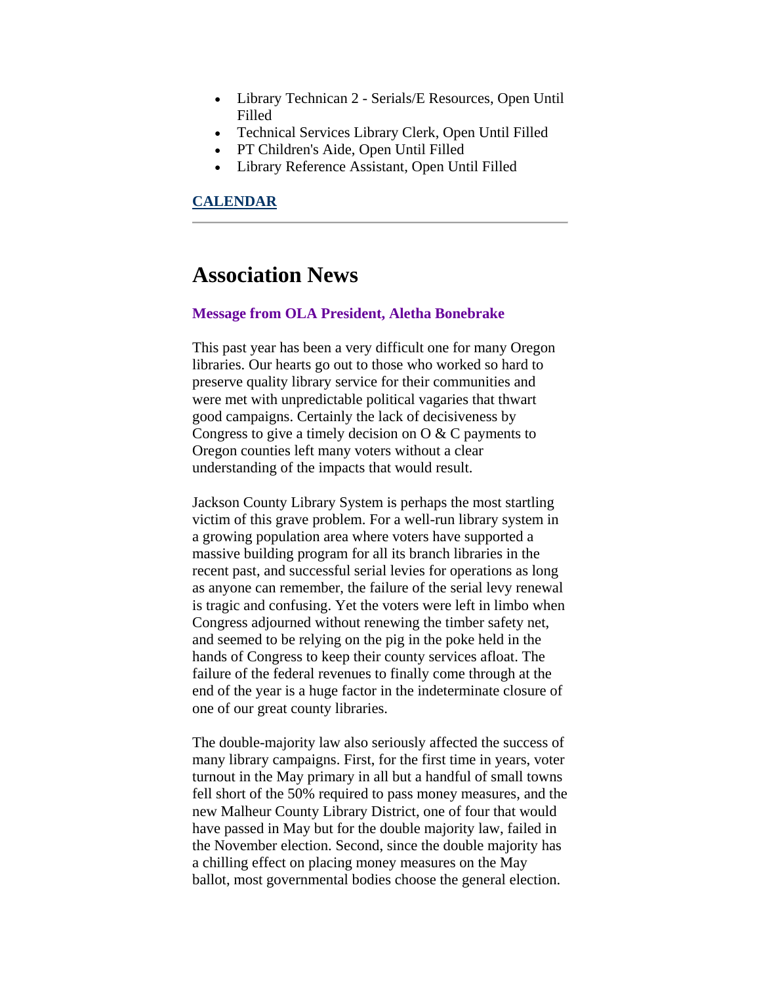- <span id="page-1-0"></span>• Library Technican 2 - Serials/E Resources, Open Until Filled
- Technical Services Library Clerk, Open Until Filled
- PT Children's Aide, Open Until Filled
- Library Reference Assistant, Open Until Filled

### **CALENDAR**

### **Association News**

### **Message from OLA President, Aletha Bonebrake**

This past year has been a very difficult one for many Oregon libraries. Our hearts go out to those who worked so hard to preserve quality library service for their communities and were met with unpredictable political vagaries that thwart good campaigns. Certainly the lack of decisiveness by Congress to give a timely decision on  $\overline{O} \& C$  payments to Oregon counties left many voters without a clear understanding of the impacts that would result.

Jackson County Library System is perhaps the most startling victim of this grave problem. For a well-run library system in a growing population area where voters have supported a massive building program for all its branch libraries in the recent past, and successful serial levies for operations as long as anyone can remember, the failure of the serial levy renewal is tragic and confusing. Yet the voters were left in limbo when Congress adjourned without renewing the timber safety net, and seemed to be relying on the pig in the poke held in the hands of Congress to keep their county services afloat. The failure of the federal revenues to finally come through at the end of the year is a huge factor in the indeterminate closure of one of our great county libraries.

The double-majority law also seriously affected the success of many library campaigns. First, for the first time in years, voter turnout in the May primary in all but a handful of small towns fell short of the 50% required to pass money measures, and the new Malheur County Library District, one of four that would have passed in May but for the double majority law, failed in the November election. Second, since the double majority has a chilling effect on placing money measures on the May ballot, most governmental bodies choose the general election.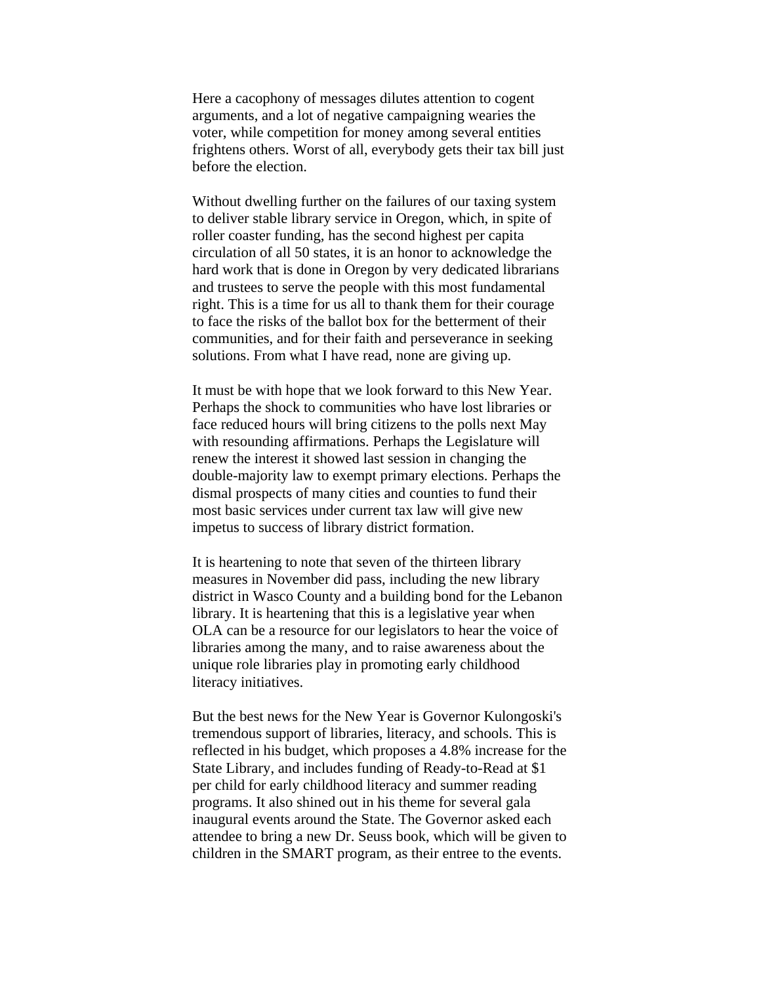Here a cacophony of messages dilutes attention to cogent arguments, and a lot of negative campaigning wearies the voter, while competition for money among several entities frightens others. Worst of all, everybody gets their tax bill just before the election.

Without dwelling further on the failures of our taxing system to deliver stable library service in Oregon, which, in spite of roller coaster funding, has the second highest per capita circulation of all 50 states, it is an honor to acknowledge the hard work that is done in Oregon by very dedicated librarians and trustees to serve the people with this most fundamental right. This is a time for us all to thank them for their courage to face the risks of the ballot box for the betterment of their communities, and for their faith and perseverance in seeking solutions. From what I have read, none are giving up.

It must be with hope that we look forward to this New Year. Perhaps the shock to communities who have lost libraries or face reduced hours will bring citizens to the polls next May with resounding affirmations. Perhaps the Legislature will renew the interest it showed last session in changing the double-majority law to exempt primary elections. Perhaps the dismal prospects of many cities and counties to fund their most basic services under current tax law will give new impetus to success of library district formation.

It is heartening to note that seven of the thirteen library measures in November did pass, including the new library district in Wasco County and a building bond for the Lebanon library. It is heartening that this is a legislative year when OLA can be a resource for our legislators to hear the voice of libraries among the many, and to raise awareness about the unique role libraries play in promoting early childhood literacy initiatives.

But the best news for the New Year is Governor Kulongoski's tremendous support of libraries, literacy, and schools. This is reflected in his budget, which proposes a 4.8% increase for the State Library, and includes funding of Ready-to-Read at \$1 per child for early childhood literacy and summer reading programs. It also shined out in his theme for several gala inaugural events around the State. The Governor asked each attendee to bring a new Dr. Seuss book, which will be given to children in the SMART program, as their entree to the events.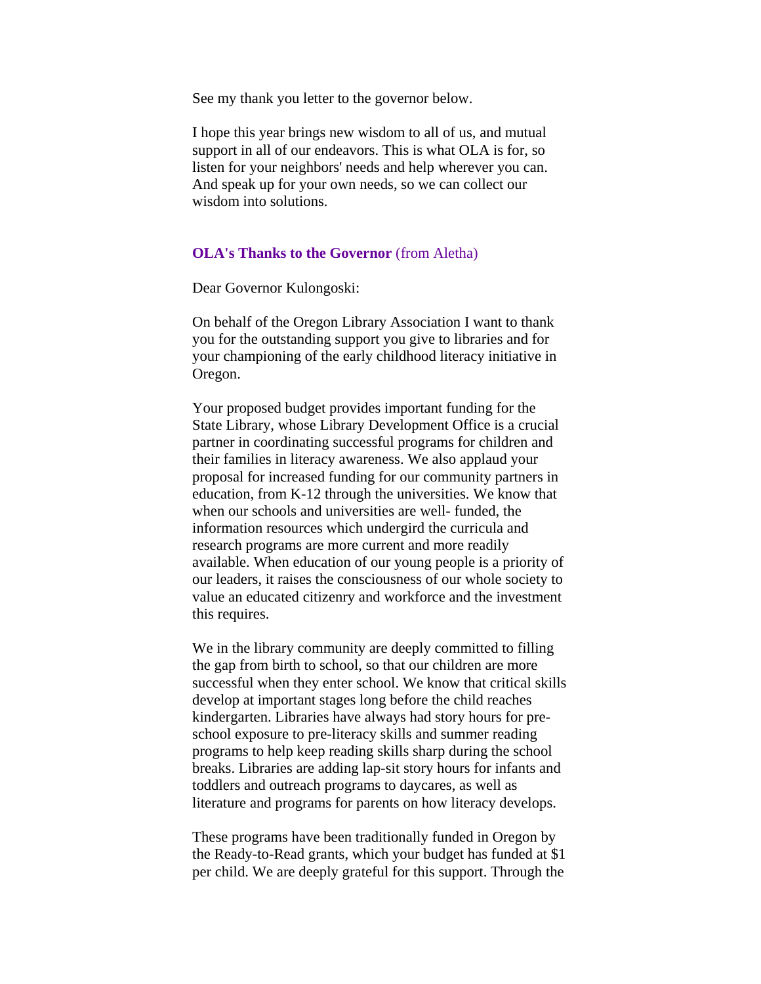<span id="page-3-0"></span>See my thank you letter to the governor below.

I hope this year brings new wisdom to all of us, and mutual support in all of our endeavors. This is what OLA is for, so listen for your neighbors' needs and help wherever you can. And speak up for your own needs, so we can collect our wisdom into solutions.

### **OLA's Thanks to the Governor** (from Aletha)

Dear Governor Kulongoski:

On behalf of the Oregon Library Association I want to thank you for the outstanding support you give to libraries and for your championing of the early childhood literacy initiative in Oregon.

Your proposed budget provides important funding for the State Library, whose Library Development Office is a crucial partner in coordinating successful programs for children and their families in literacy awareness. We also applaud your proposal for increased funding for our community partners in education, from K-12 through the universities. We know that when our schools and universities are well- funded, the information resources which undergird the curricula and research programs are more current and more readily available. When education of our young people is a priority of our leaders, it raises the consciousness of our whole society to value an educated citizenry and workforce and the investment this requires.

We in the library community are deeply committed to filling the gap from birth to school, so that our children are more successful when they enter school. We know that critical skills develop at important stages long before the child reaches kindergarten. Libraries have always had story hours for preschool exposure to pre-literacy skills and summer reading programs to help keep reading skills sharp during the school breaks. Libraries are adding lap-sit story hours for infants and toddlers and outreach programs to daycares, as well as literature and programs for parents on how literacy develops.

These programs have been traditionally funded in Oregon by the Ready-to-Read grants, which your budget has funded at \$1 per child. We are deeply grateful for this support. Through the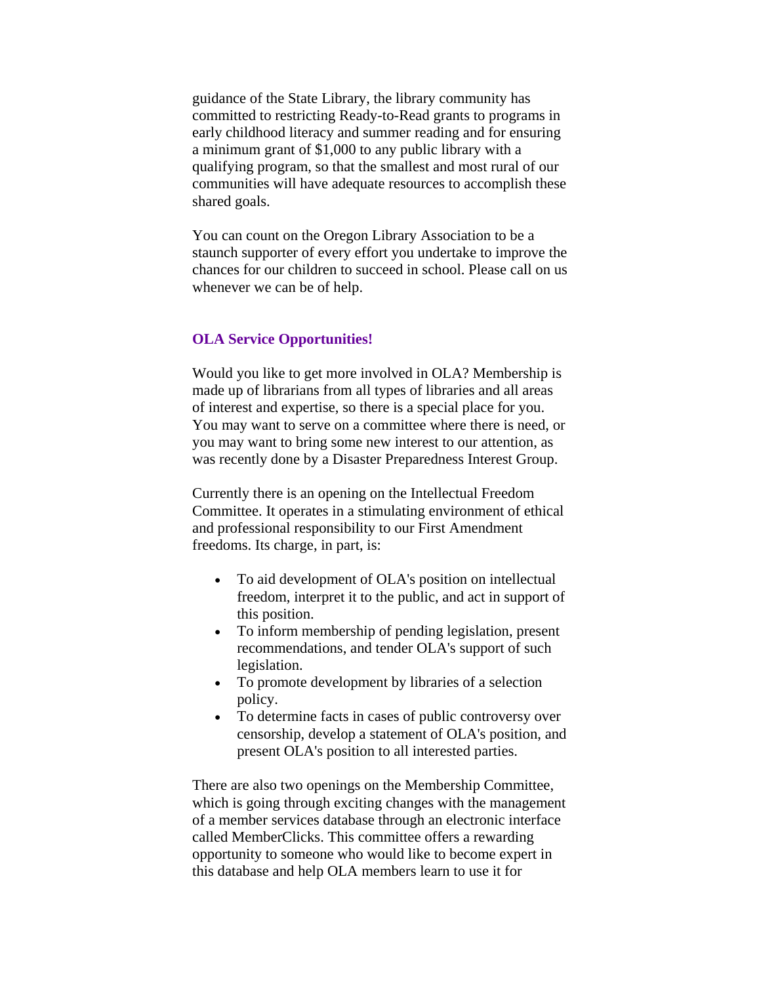<span id="page-4-0"></span>guidance of the State Library, the library community has committed to restricting Ready-to-Read grants to programs in early childhood literacy and summer reading and for ensuring a minimum grant of \$1,000 to any public library with a qualifying program, so that the smallest and most rural of our communities will have adequate resources to accomplish these shared goals.

You can count on the Oregon Library Association to be a staunch supporter of every effort you undertake to improve the chances for our children to succeed in school. Please call on us whenever we can be of help.

### **OLA Service Opportunities!**

Would you like to get more involved in OLA? Membership is made up of librarians from all types of libraries and all areas of interest and expertise, so there is a special place for you. You may want to serve on a committee where there is need, or you may want to bring some new interest to our attention, as was recently done by a Disaster Preparedness Interest Group.

Currently there is an opening on the Intellectual Freedom Committee. It operates in a stimulating environment of ethical and professional responsibility to our First Amendment freedoms. Its charge, in part, is:

- To aid development of OLA's position on intellectual freedom, interpret it to the public, and act in support of this position.
- To inform membership of pending legislation, present recommendations, and tender OLA's support of such legislation.
- To promote development by libraries of a selection policy.
- To determine facts in cases of public controversy over censorship, develop a statement of OLA's position, and present OLA's position to all interested parties.

There are also two openings on the Membership Committee, which is going through exciting changes with the management of a member services database through an electronic interface called MemberClicks. This committee offers a rewarding opportunity to someone who would like to become expert in this database and help OLA members learn to use it for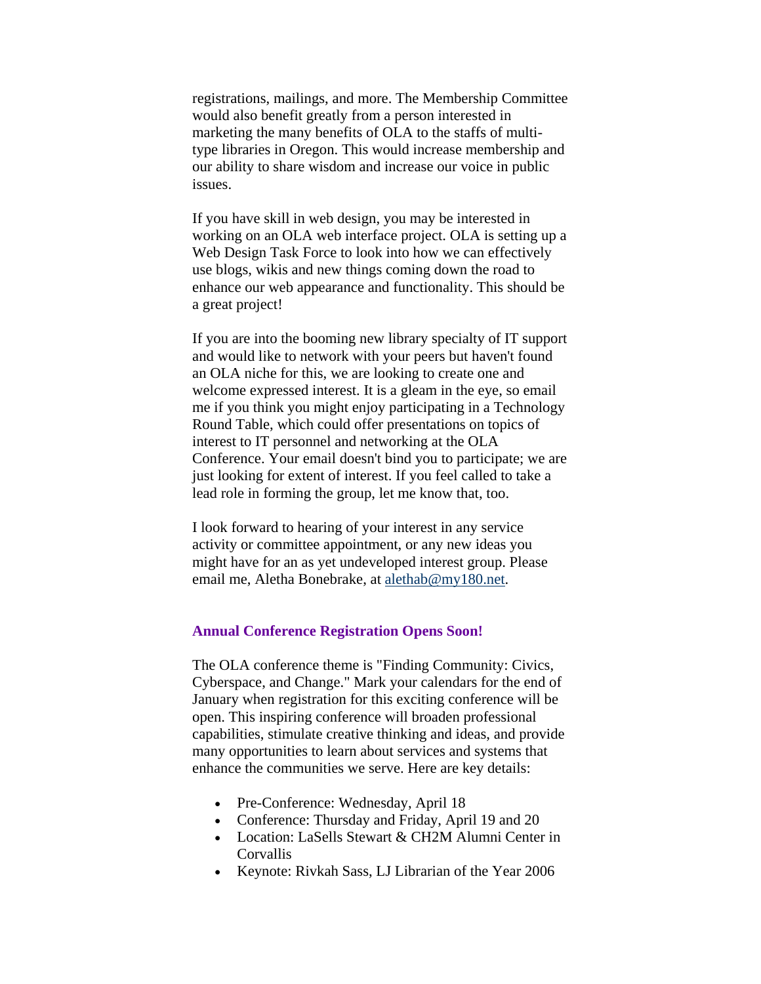<span id="page-5-0"></span>registrations, mailings, and more. The Membership Committee would also benefit greatly from a person interested in marketing the many benefits of OLA to the staffs of multitype libraries in Oregon. This would increase membership and our ability to share wisdom and increase our voice in public issues.

If you have skill in web design, you may be interested in working on an OLA web interface project. OLA is setting up a Web Design Task Force to look into how we can effectively use blogs, wikis and new things coming down the road to enhance our web appearance and functionality. This should be a great project!

If you are into the booming new library specialty of IT support and would like to network with your peers but haven't found an OLA niche for this, we are looking to create one and welcome expressed interest. It is a gleam in the eye, so email me if you think you might enjoy participating in a Technology Round Table, which could offer presentations on topics of interest to IT personnel and networking at the OLA Conference. Your email doesn't bind you to participate; we are just looking for extent of interest. If you feel called to take a lead role in forming the group, let me know that, too.

I look forward to hearing of your interest in any service activity or committee appointment, or any new ideas you might have for an as yet undeveloped interest group. Please email me, Aletha Bonebrake, at [alethab@my180.net](mailto:alethab@my180.net).

### **Annual Conference Registration Opens Soon!**

The OLA conference theme is "Finding Community: Civics, Cyberspace, and Change." Mark your calendars for the end of January when registration for this exciting conference will be open. This inspiring conference will broaden professional capabilities, stimulate creative thinking and ideas, and provide many opportunities to learn about services and systems that enhance the communities we serve. Here are key details:

- Pre-Conference: Wednesday, April 18
- Conference: Thursday and Friday, April 19 and 20
- Location: LaSells Stewart & CH2M Alumni Center in Corvallis
- Keynote: Rivkah Sass, LJ Librarian of the Year 2006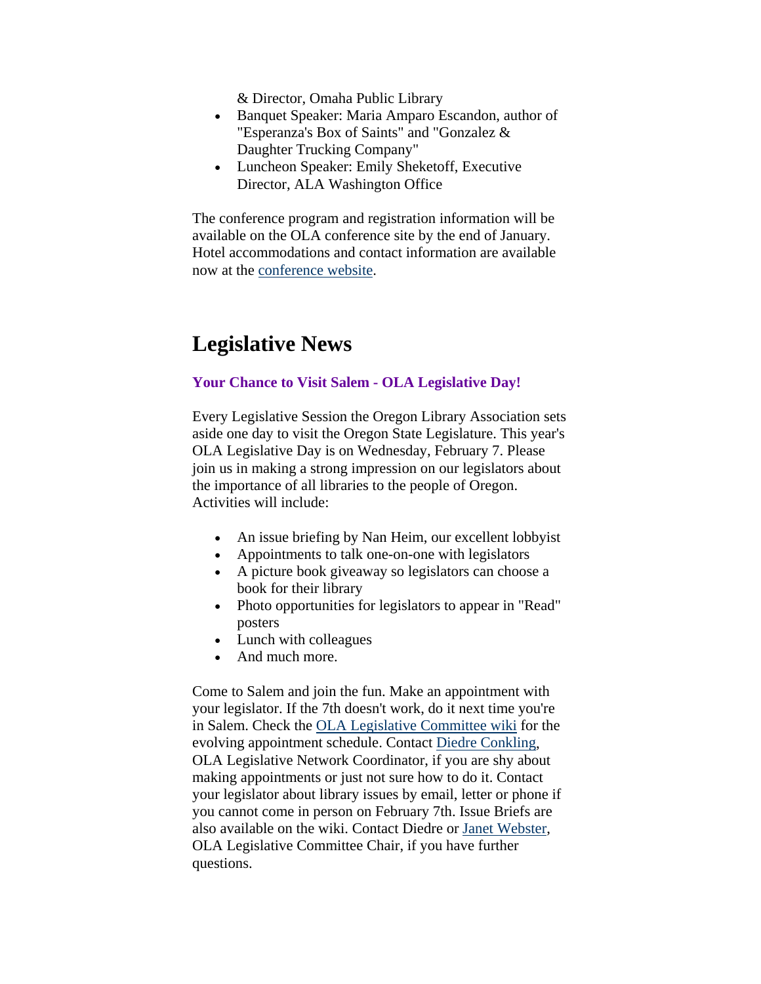& Director, Omaha Public Library

- <span id="page-6-0"></span>• Banquet Speaker: Maria Amparo Escandon, author of "Esperanza's Box of Saints" and "Gonzalez & Daughter Trucking Company"
- Luncheon Speaker: Emily Sheketoff, Executive Director, ALA Washington Office

The conference program and registration information will be available on the OLA conference site by the end of January. Hotel accommodations and contact information are available now at the [conference website](http://www.olaweb.org/conference).

## **Legislative News**

### **Your Chance to Visit Salem - OLA Legislative Day!**

Every Legislative Session the Oregon Library Association sets aside one day to visit the Oregon State Legislature. This year's OLA Legislative Day is on Wednesday, February 7. Please join us in making a strong impression on our legislators about the importance of all libraries to the people of Oregon. Activities will include:

- An issue briefing by Nan Heim, our excellent lobby ist
- Appointments to talk one-on-one with legislators
- A picture book giveaway so legislators can choose a book for their library
- Photo opportunities for legislators to appear in "Read" posters
- Lunch with colleagues
- And much more.

Come to Salem and join the fun. Make an appointment with your legislator. If the 7th doesn't work, do it next time you're in Salem. Check the [OLA Legislative Committee wiki](http://olanetwork.wikispaces.com/) for the evolving appointment schedule. Contact [Diedre Conkling](mailto:diedrec@charter.net), OLA Legislative Network Coordinator, if you are shy about making appointments or just not sure how to do it. Contact your legislator about library issues by email, letter or phone if you cannot come in person on February 7th. Issue Briefs are also available on the wiki. Contact Diedre or [Janet Webster](mailto:janet.webster@oregonstate.edu), OLA Legislative Committee Chair, if you have further questions.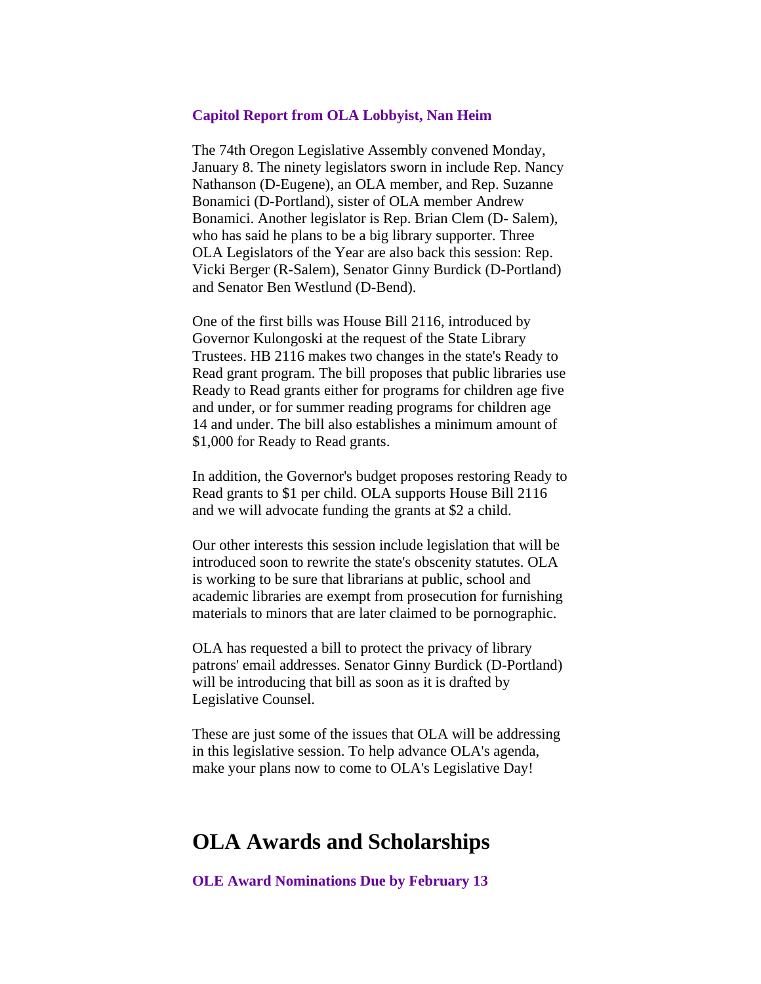### <span id="page-7-0"></span>**Capitol Report from OLA Lobbyist, Nan Heim**

The 74th Oregon Legislative Assembly convened Monday, January 8. The ninety legislators sworn in include Rep. Nancy Nathanson (D-Eugene), an OLA member, and Rep. Suzanne Bonamici (D-Portland), sister of OLA member Andrew Bonamici. Another legislator is Rep. Brian Clem (D- Salem), who has said he plans to be a big library supporter. Three OLA Legislators of the Year are also back this session: Rep. Vicki Berger (R-Salem), Senator Ginny Burdick (D-Portland) and Senator Ben Westlund (D-Bend).

One of the first bills was House Bill 2116, introduced by Governor Kulongoski at the request of the State Library Trustees. HB 2116 makes two changes in the state's Ready to Read grant program. The bill proposes that public libraries use Ready to Read grants either for programs for children age five and under, or for summer reading programs for children age 14 and under. The bill also establishes a minimum amount of \$1,000 for Ready to Read grants.

In addition, the Governor's budget proposes restoring Ready to Read grants to \$1 per child. OLA supports House Bill 2116 and we will advocate funding the grants at \$2 a child.

Our other interests this session include legislation that will be introduced soon to rewrite the state's obscenity statutes. OLA is working to be sure that librarians at public, school and academic libraries are exempt from prosecution for furnishing materials to minors that are later claimed to be pornographic.

OLA has requested a bill to protect the privacy of library patrons' email addresses. Senator Ginny Burdick (D-Portland) will be introducing that bill as soon as it is drafted by Legislative Counsel.

These are just some of the issues that OLA will be addressing in this legislative session. To help advance OLA's agenda, make your plans now to come to OLA's Legislative Day!

### **OLA Awards and Scholarships**

**OLE Award Nominations Due by February 13**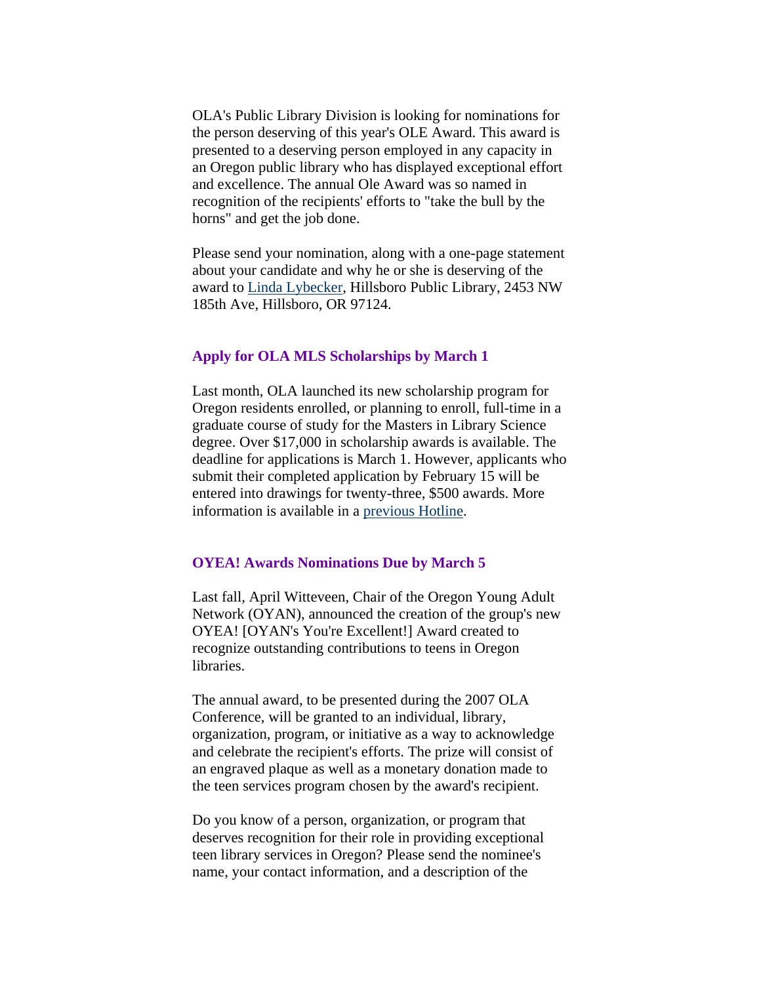<span id="page-8-0"></span>OLA's Public Library Division is looking for nominations for the person deserving of this year's OLE Award. This award is presented to a deserving person employed in any capacity in an Oregon public library who has displayed exceptional effort and excellence. The annual Ole Award was so named in recognition of the recipients' efforts to "take the bull by the horns" and get the job done.

Please send your nomination, along with a one-page statement about your candidate and why he or she is deserving of the award to [Linda Lybecker,](mailto:lindal@ci.hillsboro.or.us) Hillsboro Public Library, 2453 NW 185th Ave, Hillsboro, OR 97124.

### **Apply for OLA MLS Scholarships by March 1**

Last month, OLA launched its new scholarship program for Oregon residents enrolled, or planning to enroll, full-time in a graduate course of study for the Masters in Library Science degree. Over \$17,000 in scholarship awards is available. The deadline for applications is March 1. However, applicants who submit their completed application by February 15 will be entered into drawings for twenty-three, \$500 awards. More information is available in a [previous Hotline.](http://www.olaweb.org/hotline/vol13/olahot13-04.shtml#schl)

### **OYEA! Awards Nominations Due by March 5**

Last fall, April Witteveen, Chair of the Oregon Young Adult Network (OYAN), announced the creation of the group's new OYEA! [OYAN's You're Excellent!] Award created to recognize outstanding contributions to teens in Oregon libraries.

The annual award, to be presented during the 2007 OLA Conference, will be granted to an individual, library, organization, program, or initiative as a way to acknowledge and celebrate the recipient's efforts. The prize will consist of an engraved plaque as well as a monetary donation made to the teen services program chosen by the award's recipient.

Do you know of a person, organization, or program that deserves recognition for their role in providing exceptional teen library services in Oregon? Please send the nominee's name, your contact information, and a description of the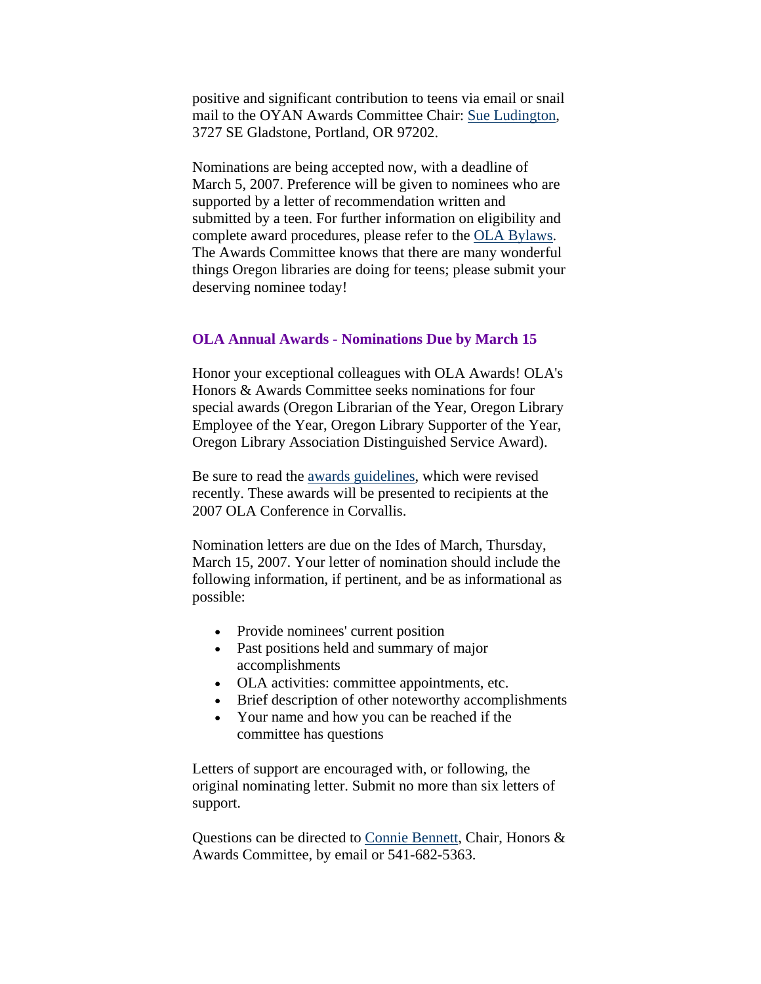<span id="page-9-0"></span>positive and significant contribution to teens via email or snail mail to the OYAN Awards Committee Chair: [Sue Ludington](mailto:susanlu@multcolib.org), 3727 SE Gladstone, Portland, OR 97202.

Nominations are being accepted now, with a deadline of March 5, 2007. Preference will be given to nominees who are supported by a letter of recommendation written and submitted by a teen. For further information on eligibility and complete award procedures, please refer to the [OLA Bylaws.](http://olaweb.org/bylaws/oyea.shtml) The Awards Committee knows that there are many wonderful things Oregon libraries are doing for teens; please submit your deserving nominee today!

#### **OLA Annual Awards - Nominations Due by March 15**

Honor your exceptional colleagues with OLA Awards! OLA's Honors & Awards Committee seeks nominations for four special awards (Oregon Librarian of the Year, Oregon Library Employee of the Year, Oregon Library Supporter of the Year, Oregon Library Association Distinguished Service Award).

Be sure to read the [awards guidelines](http://www.olaweb.org/bylaws/awards.shtml), which were revised recently. These awards will be presented to recipients at the 2007 OLA Conference in Corvallis.

Nomination letters are due on the Ides of March, Thursday, March 15, 2007. Your letter of nomination should include the following information, if pertinent, and be as informational as possible:

- Provide nominees' current position
- Past positions held and summary of major accomplishments
- OLA activities: committee appointments, etc.
- Brief description of other noteworthy accomplishments
- Your name and how you can be reached if the committee has questions

Letters of support are encouraged with, or following, the original nominating letter. Submit no more than six letters of support.

Questions can be directed to [Connie Bennett,](mailto:connie.j.bennett@ci.eugene.or.us) Chair, Honors & Awards Committee, by email or 541-682-5363.